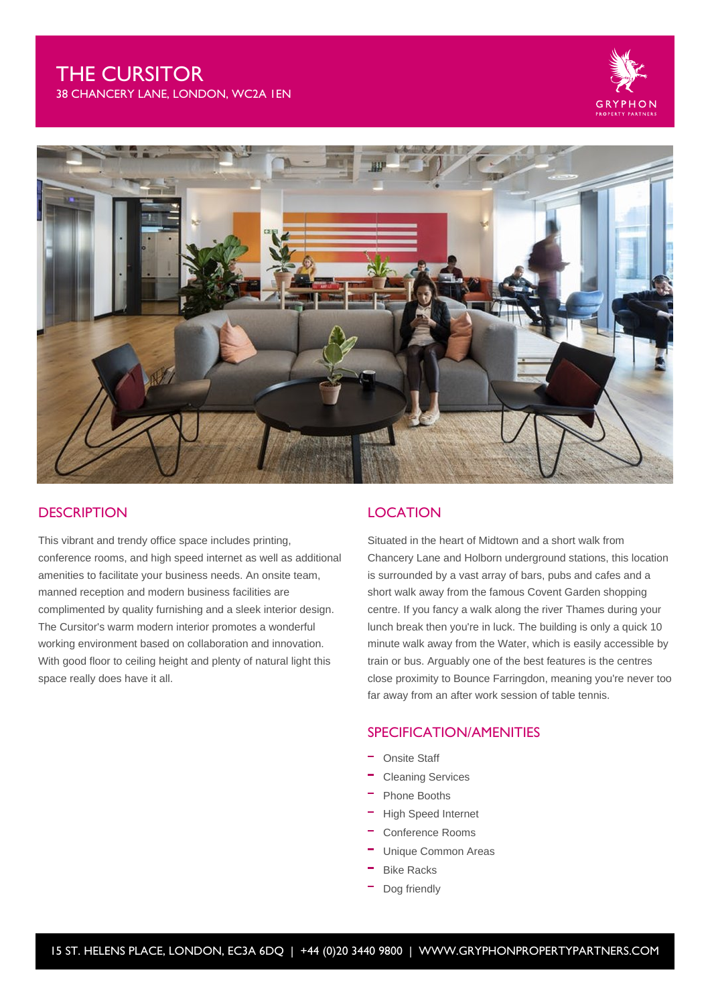## THE CURSITOR

38 CHANCERY LANE, LONDON, WC2A 1EN





### **DESCRIPTION**

This vibrant and trendy office space includes printing, conference rooms, and high speed internet as well as additional amenities to facilitate your business needs. An onsite team, manned reception and modern business facilities are complimented by quality furnishing and a sleek interior design. The Cursitor's warm modern interior promotes a wonderful working environment based on collaboration and innovation. With good floor to ceiling height and plenty of natural light this space really does have it all.

### **LOCATION**

Situated in the heart of Midtown and a short walk from Chancery Lane and Holborn underground stations, this location is surrounded by a vast array of bars, pubs and cafes and a short walk away from the famous Covent Garden shopping centre. If you fancy a walk along the river Thames during your lunch break then you're in luck. The building is only a quick 10 minute walk away from the Water, which is easily accessible by train or bus. Arguably one of the best features is the centres close proximity to Bounce Farringdon, meaning you're never too far away from an after work session of table tennis.

## SPECIFICATION/AMENITIES

- Onsite Staff
- Cleaning Services
- Phone Booths
- High Speed Internet
- Conference Rooms
- Unique Common Areas
- Bike Racks
- Dog friendly